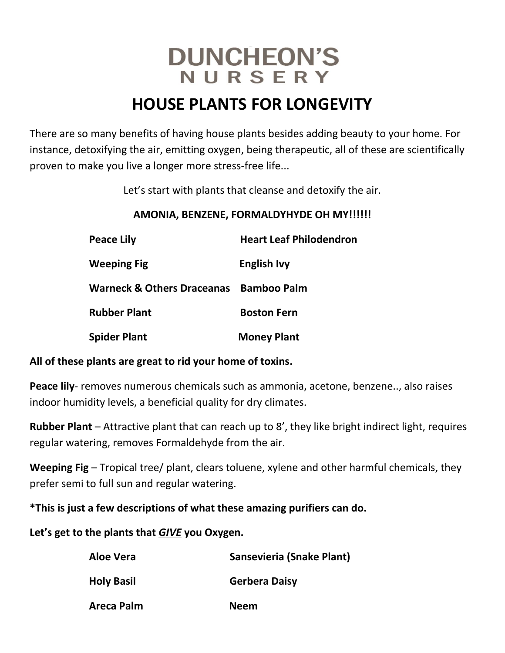# **DUNCHEON'S** NURSERY

## **HOUSE PLANTS FOR LONGEVITY**

There are so many benefits of having house plants besides adding beauty to your home. For instance, detoxifying the air, emitting oxygen, being therapeutic, all of these are scientifically proven to make you live a longer more stress-free life...

Let's start with plants that cleanse and detoxify the air.

### **AMONIA, BENZENE, FORMALDYHYDE OH MY!!!!!!**

| <b>Peace Lily</b>                     | <b>Heart Leaf Philodendron</b> |
|---------------------------------------|--------------------------------|
| <b>Weeping Fig</b>                    | <b>English Ivy</b>             |
| <b>Warneck &amp; Others Draceanas</b> | <b>Bamboo Palm</b>             |
| <b>Rubber Plant</b>                   | <b>Boston Fern</b>             |
| <b>Spider Plant</b>                   | <b>Money Plant</b>             |

#### **All of these plants are great to rid your home of toxins.**

**Peace lily**- removes numerous chemicals such as ammonia, acetone, benzene.., also raises indoor humidity levels, a beneficial quality for dry climates.

**Rubber Plant** – Attractive plant that can reach up to 8', they like bright indirect light, requires regular watering, removes Formaldehyde from the air.

**Weeping Fig** – Tropical tree/ plant, clears toluene, xylene and other harmful chemicals, they prefer semi to full sun and regular watering.

**\*This is just a few descriptions of what these amazing purifiers can do.**

**Let's get to the plants that** *GIVE* **you Oxygen.** 

| Aloe Vera         | Sansevieria (Snake Plant) |
|-------------------|---------------------------|
| <b>Holy Basil</b> | <b>Gerbera Daisy</b>      |
| <b>Areca Palm</b> | <b>Neem</b>               |